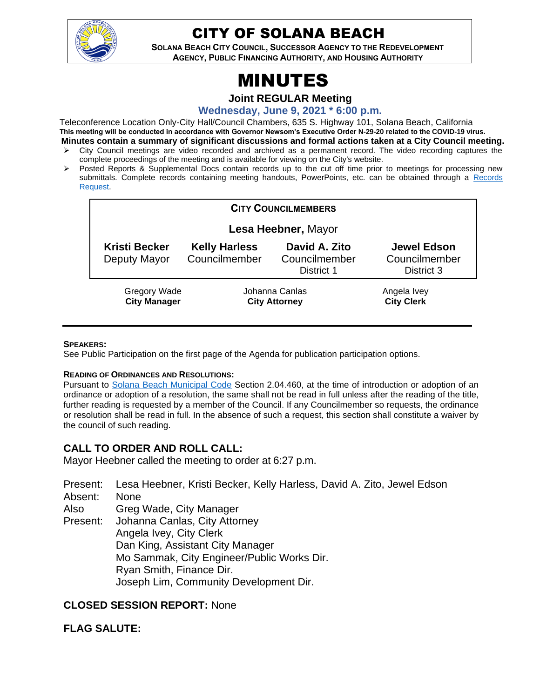

# CITY OF SOLANA BEACH

**SOLANA BEACH CITY COUNCIL, SUCCESSOR AGENCY TO THE REDEVELOPMENT AGENCY, PUBLIC FINANCING AUTHORITY, AND HOUSING AUTHORITY** 

# MINUTES

**Joint REGULAR Meeting**

**Wednesday, June 9, 2021 \* 6:00 p.m.**

Teleconference Location Only-City Hall/Council Chambers, 635 S. Highway 101, Solana Beach, California **This meeting will be conducted in accordance with Governor Newsom's Executive Order N-29-20 related to the COVID-19 virus. Minutes contain a summary of significant discussions and formal actions taken at a City Council meeting.**

- City Council meetings are video recorded and archived as a permanent record. The video recording captures the complete proceedings of the meeting and is available for viewing on the City's website.
- ➢ Posted Reports & Supplemental Docs contain records up to the cut off time prior to meetings for processing new submittals. Complete records containing meeting handouts, PowerPoints, etc. can be obtained through a [Records](http://www.ci.solana-beach.ca.us/index.asp?SEC=F5D45D10-70CE-4291-A27C-7BD633FC6742&Type=B_BASIC)  [Request.](http://www.ci.solana-beach.ca.us/index.asp?SEC=F5D45D10-70CE-4291-A27C-7BD633FC6742&Type=B_BASIC)

| <b>CITY COUNCILMEMBERS</b>           |                                        |                                              |                                                   |
|--------------------------------------|----------------------------------------|----------------------------------------------|---------------------------------------------------|
| Lesa Heebner, Mayor                  |                                        |                                              |                                                   |
| <b>Kristi Becker</b><br>Deputy Mayor | <b>Kelly Harless</b><br>Councilmember  | David A. Zito<br>Councilmember<br>District 1 | <b>Jewel Edson</b><br>Councilmember<br>District 3 |
| Gregory Wade<br><b>City Manager</b>  | Johanna Canlas<br><b>City Attorney</b> |                                              | Angela Ivey<br><b>City Clerk</b>                  |

#### **SPEAKERS:**

See Public Participation on the first page of the Agenda for publication participation options.

#### **READING OF ORDINANCES AND RESOLUTIONS:**

Pursuant to [Solana Beach Municipal Code](https://www.codepublishing.com/CA/SolanaBeach/) Section 2.04.460, at the time of introduction or adoption of an ordinance or adoption of a resolution, the same shall not be read in full unless after the reading of the title, further reading is requested by a member of the Council. If any Councilmember so requests, the ordinance or resolution shall be read in full. In the absence of such a request, this section shall constitute a waiver by the council of such reading.

# **CALL TO ORDER AND ROLL CALL:**

Mayor Heebner called the meeting to order at 6:27 p.m.

- Present: Lesa Heebner, Kristi Becker, Kelly Harless, David A. Zito, Jewel Edson
- Absent: None

Also Greg Wade, City Manager

Present: Johanna Canlas, City Attorney Angela Ivey, City Clerk Dan King, Assistant City Manager Mo Sammak, City Engineer/Public Works Dir. Ryan Smith, Finance Dir. Joseph Lim, Community Development Dir.

# **CLOSED SESSION REPORT:** None

#### **FLAG SALUTE:**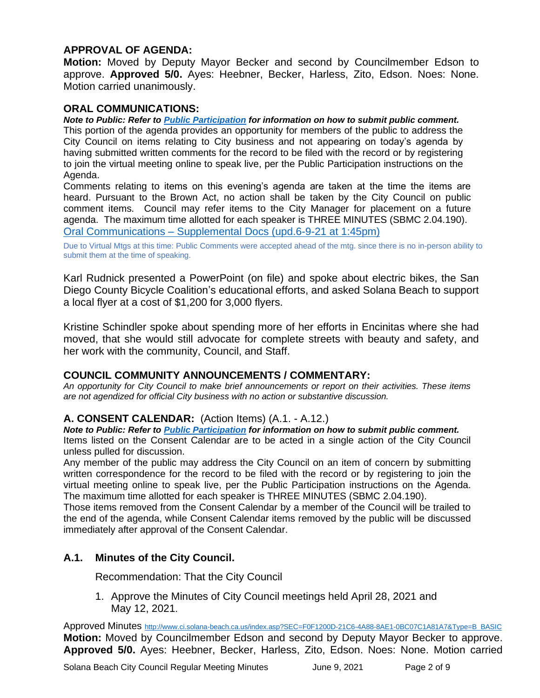# **APPROVAL OF AGENDA:**

**Motion:** Moved by Deputy Mayor Becker and second by Councilmember Edson to approve. **Approved 5/0.** Ayes: Heebner, Becker, Harless, Zito, Edson. Noes: None. Motion carried unanimously.

#### **ORAL COMMUNICATIONS:**

*Note to Public: Refer to Public Participation for information on how to submit public comment.*  This portion of the agenda provides an opportunity for members of the public to address the City Council on items relating to City business and not appearing on today's agenda by having submitted written comments for the record to be filed with the record or by registering to join the virtual meeting online to speak live, per the Public Participation instructions on the Agenda.

Comments relating to items on this evening's agenda are taken at the time the items are heard. Pursuant to the Brown Act, no action shall be taken by the City Council on public comment items. Council may refer items to the City Manager for placement on a future agenda. The maximum time allotted for each speaker is THREE MINUTES (SBMC 2.04.190). Oral Communications – [Supplemental Docs \(upd.6-9-21 at](https://solanabeach.govoffice3.com/vertical/Sites/%7B840804C2-F869-4904-9AE3-720581350CE7%7D/uploads/Item_OC_-_Supplemental_Docs_(upd._6-9145pm)_-_O.pdf) 1:45pm)

Due to Virtual Mtgs at this time: Public Comments were accepted ahead of the mtg. since there is no in-person ability to submit them at the time of speaking.

Karl Rudnick presented a PowerPoint (on file) and spoke about electric bikes, the San Diego County Bicycle Coalition's educational efforts, and asked Solana Beach to support a local flyer at a cost of \$1,200 for 3,000 flyers.

Kristine Schindler spoke about spending more of her efforts in Encinitas where she had moved, that she would still advocate for complete streets with beauty and safety, and her work with the community, Council, and Staff.

#### **COUNCIL COMMUNITY ANNOUNCEMENTS / COMMENTARY:**

*An opportunity for City Council to make brief announcements or report on their activities. These items are not agendized for official City business with no action or substantive discussion.* 

#### **A. CONSENT CALENDAR:** (Action Items) (A.1. - A.12.)

*Note to Public: Refer to Public Participation for information on how to submit public comment.* 

Items listed on the Consent Calendar are to be acted in a single action of the City Council unless pulled for discussion.

Any member of the public may address the City Council on an item of concern by submitting written correspondence for the record to be filed with the record or by registering to join the virtual meeting online to speak live, per the Public Participation instructions on the Agenda. The maximum time allotted for each speaker is THREE MINUTES (SBMC 2.04.190).

Those items removed from the Consent Calendar by a member of the Council will be trailed to the end of the agenda, while Consent Calendar items removed by the public will be discussed immediately after approval of the Consent Calendar.

# **A.1. Minutes of the City Council.**

Recommendation: That the City Council

1. Approve the Minutes of City Council meetings held April 28, 2021 and May 12, 2021.

Approved Minutes [http://www.ci.solana-beach.ca.us/index.asp?SEC=F0F1200D-21C6-4A88-8AE1-0BC07C1A81A7&Type=B\\_BASIC](http://www.ci.solana-beach.ca.us/index.asp?SEC=F0F1200D-21C6-4A88-8AE1-0BC07C1A81A7&Type=B_BASIC) **Motion:** Moved by Councilmember Edson and second by Deputy Mayor Becker to approve. **Approved 5/0.** Ayes: Heebner, Becker, Harless, Zito, Edson. Noes: None. Motion carried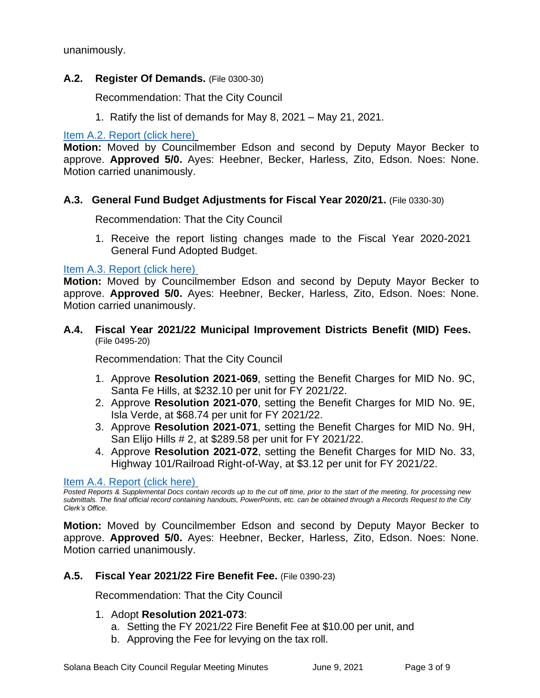unanimously.

# **A.2. Register Of Demands.** (File 0300-30)

Recommendation: That the City Council

1. Ratify the list of demands for May 8, 2021 – May 21, 2021.

[Item A.2. Report \(click here\)](https://solanabeach.govoffice3.com/vertical/Sites/%7B840804C2-F869-4904-9AE3-720581350CE7%7D/uploads/Item_A.2._Report_(click_here)_-_06-09-21_O.pdf)

**Motion:** Moved by Councilmember Edson and second by Deputy Mayor Becker to approve. **Approved 5/0.** Ayes: Heebner, Becker, Harless, Zito, Edson. Noes: None. Motion carried unanimously.

# **A.3. General Fund Budget Adjustments for Fiscal Year 2020/21.** (File 0330-30)

Recommendation: That the City Council

1. Receive the report listing changes made to the Fiscal Year 2020-2021 General Fund Adopted Budget.

[Item A.3. Report \(click here\)](https://solanabeach.govoffice3.com/vertical/Sites/%7B840804C2-F869-4904-9AE3-720581350CE7%7D/uploads/Item_A.3._Report_(click_here)_-_06-09-21_O.pdf)

**Motion:** Moved by Councilmember Edson and second by Deputy Mayor Becker to approve. **Approved 5/0.** Ayes: Heebner, Becker, Harless, Zito, Edson. Noes: None. Motion carried unanimously.

**A.4. Fiscal Year 2021/22 Municipal Improvement Districts Benefit (MID) Fees.** (File 0495-20)

Recommendation: That the City Council

- 1. Approve **Resolution 2021-069**, setting the Benefit Charges for MID No. 9C, Santa Fe Hills, at \$232.10 per unit for FY 2021/22.
- 2. Approve **Resolution 2021-070**, setting the Benefit Charges for MID No. 9E, Isla Verde, at \$68.74 per unit for FY 2021/22.
- 3. Approve **Resolution 2021-071**, setting the Benefit Charges for MID No. 9H, San Elijo Hills # 2, at \$289.58 per unit for FY 2021/22.
- 4. Approve **Resolution 2021-072**, setting the Benefit Charges for MID No. 33, Highway 101/Railroad Right-of-Way, at \$3.12 per unit for FY 2021/22.

[Item A.4. Report \(click here\)](https://solanabeach.govoffice3.com/vertical/Sites/%7B840804C2-F869-4904-9AE3-720581350CE7%7D/uploads/Item_A.4._Report_(click_here)_06-09-21_O.pdf)

*Posted Reports & Supplemental Docs contain records up to the cut off time, prior to the start of the meeting, for processing new submittals. The final official record containing handouts, PowerPoints, etc. can be obtained through a Records Request to the City Clerk's Office.*

**Motion:** Moved by Councilmember Edson and second by Deputy Mayor Becker to approve. **Approved 5/0.** Ayes: Heebner, Becker, Harless, Zito, Edson. Noes: None. Motion carried unanimously.

# **A.5. Fiscal Year 2021/22 Fire Benefit Fee.** (File 0390-23)

Recommendation: That the City Council

- 1. Adopt **Resolution 2021-073**:
	- a. Setting the FY 2021/22 Fire Benefit Fee at \$10.00 per unit, and
	- b. Approving the Fee for levying on the tax roll.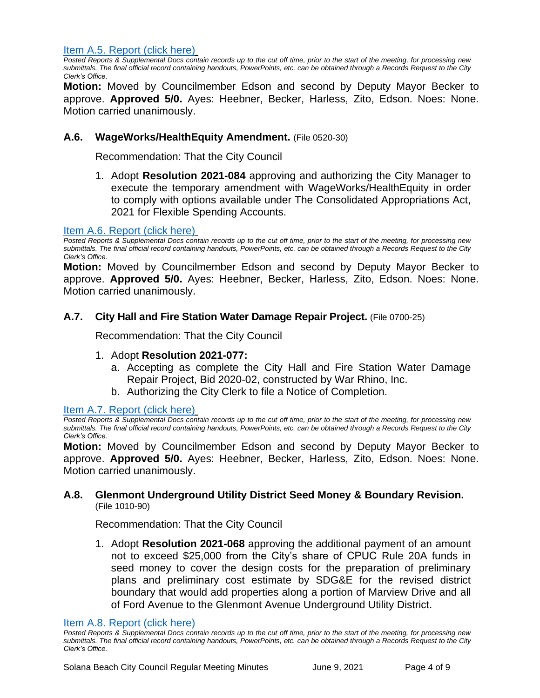[Item A.5. Report](https://solanabeach.govoffice3.com/vertical/Sites/%7B840804C2-F869-4904-9AE3-720581350CE7%7D/uploads/Item_A.5._Report_(click_here)_-_06-09-21_O.pdf) (click here)

*Posted Reports & Supplemental Docs contain records up to the cut off time, prior to the start of the meeting, for processing new submittals. The final official record containing handouts, PowerPoints, etc. can be obtained through a Records Request to the City Clerk's Office.*

**Motion:** Moved by Councilmember Edson and second by Deputy Mayor Becker to approve. **Approved 5/0.** Ayes: Heebner, Becker, Harless, Zito, Edson. Noes: None. Motion carried unanimously.

# **A.6. WageWorks/HealthEquity Amendment.** (File 0520-30)

Recommendation: That the City Council

1. Adopt **Resolution 2021-084** approving and authorizing the City Manager to execute the temporary amendment with WageWorks/HealthEquity in order to comply with options available under The Consolidated Appropriations Act, 2021 for Flexible Spending Accounts.

#### [Item A.6. Report \(click here\)](https://solanabeach.govoffice3.com/vertical/Sites/%7B840804C2-F869-4904-9AE3-720581350CE7%7D/uploads/Item_A.6._Report_(click_here)_-_06-09-21_O.pdf)

*Posted Reports & Supplemental Docs contain records up to the cut off time, prior to the start of the meeting, for processing new submittals. The final official record containing handouts, PowerPoints, etc. can be obtained through a Records Request to the City Clerk's Office.*

**Motion:** Moved by Councilmember Edson and second by Deputy Mayor Becker to approve. **Approved 5/0.** Ayes: Heebner, Becker, Harless, Zito, Edson. Noes: None. Motion carried unanimously.

# **A.7. City Hall and Fire Station Water Damage Repair Project.** (File 0700-25)

Recommendation: That the City Council

# 1. Adopt **Resolution 2021-077:**

- a. Accepting as complete the City Hall and Fire Station Water Damage Repair Project, Bid 2020-02, constructed by War Rhino, Inc.
- b. Authorizing the City Clerk to file a Notice of Completion.

[Item A.7. Report \(click here\)](https://solanabeach.govoffice3.com/vertical/Sites/%7B840804C2-F869-4904-9AE3-720581350CE7%7D/uploads/Item_A.7._Report_(click_here)_-_06-09-21_O.pdf)

*Posted Reports & Supplemental Docs contain records up to the cut off time, prior to the start of the meeting, for processing new submittals. The final official record containing handouts, PowerPoints, etc. can be obtained through a Records Request to the City Clerk's Office.*

**Motion:** Moved by Councilmember Edson and second by Deputy Mayor Becker to approve. **Approved 5/0.** Ayes: Heebner, Becker, Harless, Zito, Edson. Noes: None. Motion carried unanimously.

#### **A.8. Glenmont Underground Utility District Seed Money & Boundary Revision.** (File 1010-90)

Recommendation: That the City Council

1. Adopt **Resolution 2021-068** approving the additional payment of an amount not to exceed \$25,000 from the City's share of CPUC Rule 20A funds in seed money to cover the design costs for the preparation of preliminary plans and preliminary cost estimate by SDG&E for the revised district boundary that would add properties along a portion of Marview Drive and all of Ford Avenue to the Glenmont Avenue Underground Utility District.

Item A.8. [Report \(click here\)](https://solanabeach.govoffice3.com/vertical/Sites/%7B840804C2-F869-4904-9AE3-720581350CE7%7D/uploads/Item_A.8._Report_(click_here)_-_06-09-21_O.pdf)

*Posted Reports & Supplemental Docs contain records up to the cut off time, prior to the start of the meeting, for processing new submittals. The final official record containing handouts, PowerPoints, etc. can be obtained through a Records Request to the City Clerk's Office.*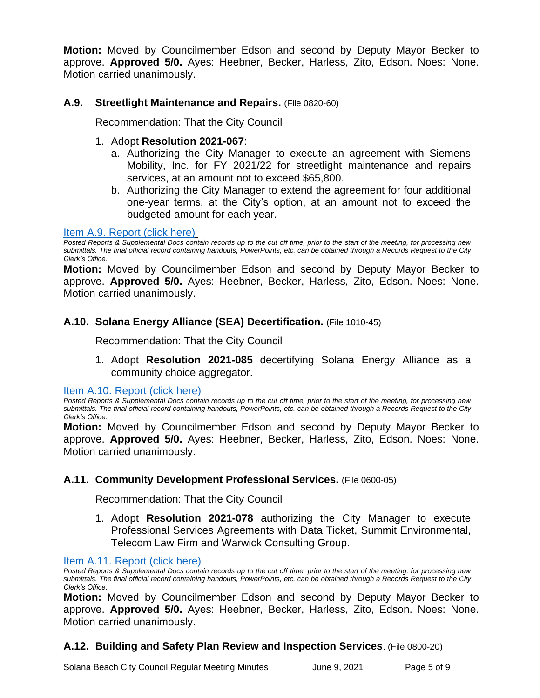**Motion:** Moved by Councilmember Edson and second by Deputy Mayor Becker to approve. **Approved 5/0.** Ayes: Heebner, Becker, Harless, Zito, Edson. Noes: None. Motion carried unanimously.

# **A.9. Streetlight Maintenance and Repairs.** (File 0820-60)

Recommendation: That the City Council

# 1. Adopt **Resolution 2021-067**:

- a. Authorizing the City Manager to execute an agreement with Siemens Mobility, Inc. for FY 2021/22 for streetlight maintenance and repairs services, at an amount not to exceed \$65,800.
- b. Authorizing the City Manager to extend the agreement for four additional one-year terms, at the City's option, at an amount not to exceed the budgeted amount for each year.

# [Item A.9. Report \(click here\)](https://solanabeach.govoffice3.com/vertical/Sites/%7B840804C2-F869-4904-9AE3-720581350CE7%7D/uploads/Item_A.9._Report_(click_here)_-_06-09-21_O.pdf)

*Posted Reports & Supplemental Docs contain records up to the cut off time, prior to the start of the meeting, for processing new submittals. The final official record containing handouts, PowerPoints, etc. can be obtained through a Records Request to the City Clerk's Office.*

**Motion:** Moved by Councilmember Edson and second by Deputy Mayor Becker to approve. **Approved 5/0.** Ayes: Heebner, Becker, Harless, Zito, Edson. Noes: None. Motion carried unanimously.

# **A.10. Solana Energy Alliance (SEA) Decertification.** (File 1010-45)

Recommendation: That the City Council

1. Adopt **Resolution 2021-085** decertifying Solana Energy Alliance as a community choice aggregator.

[Item A.10. Report \(click](https://solanabeach.govoffice3.com/vertical/Sites/%7B840804C2-F869-4904-9AE3-720581350CE7%7D/uploads/Item_A.10._Report_(click_here)_-_06-09-21_O.pdf) here)

*Posted Reports & Supplemental Docs contain records up to the cut off time, prior to the start of the meeting, for processing new submittals. The final official record containing handouts, PowerPoints, etc. can be obtained through a Records Request to the City Clerk's Office.*

**Motion:** Moved by Councilmember Edson and second by Deputy Mayor Becker to approve. **Approved 5/0.** Ayes: Heebner, Becker, Harless, Zito, Edson. Noes: None. Motion carried unanimously.

# **A.11. Community Development Professional Services.** (File 0600-05)

Recommendation: That the City Council

1. Adopt **Resolution 2021-078** authorizing the City Manager to execute Professional Services Agreements with Data Ticket, Summit Environmental, Telecom Law Firm and Warwick Consulting Group.

[Item A.11. Report \(click here\)](https://solanabeach.govoffice3.com/vertical/Sites/%7B840804C2-F869-4904-9AE3-720581350CE7%7D/uploads/Item_A.11._Report_(click_here)_-_06-09-21_O.pdf)

*Posted Reports & Supplemental Docs contain records up to the cut off time, prior to the start of the meeting, for processing new submittals. The final official record containing handouts, PowerPoints, etc. can be obtained through a Records Request to the City Clerk's Office.*

**Motion:** Moved by Councilmember Edson and second by Deputy Mayor Becker to approve. **Approved 5/0.** Ayes: Heebner, Becker, Harless, Zito, Edson. Noes: None. Motion carried unanimously.

# **A.12. Building and Safety Plan Review and Inspection Services**. (File 0800-20)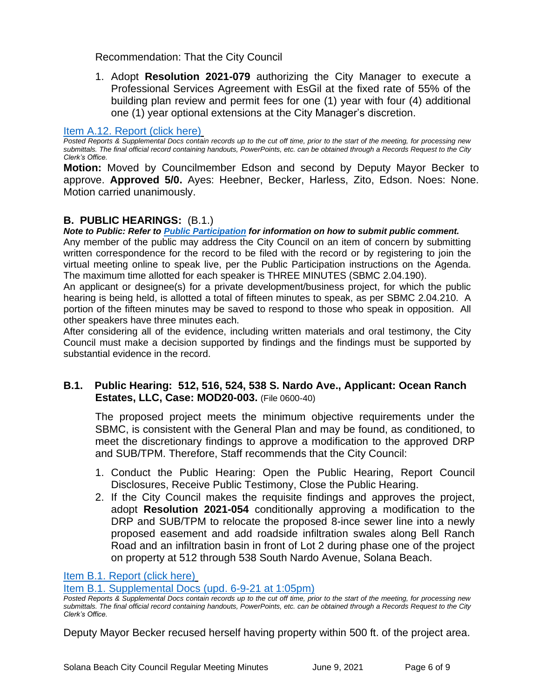Recommendation: That the City Council

1. Adopt **Resolution 2021-079** authorizing the City Manager to execute a Professional Services Agreement with EsGil at the fixed rate of 55% of the building plan review and permit fees for one (1) year with four (4) additional one (1) year optional extensions at the City Manager's discretion.

#### [Item A.12. Report \(click here\)](https://solanabeach.govoffice3.com/vertical/Sites/%7B840804C2-F869-4904-9AE3-720581350CE7%7D/uploads/Item_A.12._Report_(click_here)_-_06-09-21_O.pdf)

*Posted Reports & Supplemental Docs contain records up to the cut off time, prior to the start of the meeting, for processing new submittals. The final official record containing handouts, PowerPoints, etc. can be obtained through a Records Request to the City Clerk's Office.*

**Motion:** Moved by Councilmember Edson and second by Deputy Mayor Becker to approve. **Approved 5/0.** Ayes: Heebner, Becker, Harless, Zito, Edson. Noes: None. Motion carried unanimously.

#### **B. PUBLIC HEARINGS:** (B.1.)

*Note to Public: Refer to Public Participation for information on how to submit public comment.*  Any member of the public may address the City Council on an item of concern by submitting written correspondence for the record to be filed with the record or by registering to join the virtual meeting online to speak live, per the Public Participation instructions on the Agenda. The maximum time allotted for each speaker is THREE MINUTES (SBMC 2.04.190).

An applicant or designee(s) for a private development/business project, for which the public hearing is being held, is allotted a total of fifteen minutes to speak, as per SBMC 2.04.210. A portion of the fifteen minutes may be saved to respond to those who speak in opposition. All other speakers have three minutes each.

After considering all of the evidence, including written materials and oral testimony, the City Council must make a decision supported by findings and the findings must be supported by substantial evidence in the record.

# **B.1. Public Hearing: 512, 516, 524, 538 S. Nardo Ave., Applicant: Ocean Ranch Estates, LLC, Case: MOD20-003.** (File 0600-40)

The proposed project meets the minimum objective requirements under the SBMC, is consistent with the General Plan and may be found, as conditioned, to meet the discretionary findings to approve a modification to the approved DRP and SUB/TPM. Therefore, Staff recommends that the City Council:

- 1. Conduct the Public Hearing: Open the Public Hearing, Report Council Disclosures, Receive Public Testimony, Close the Public Hearing.
- 2. If the City Council makes the requisite findings and approves the project, adopt **Resolution 2021-054** conditionally approving a modification to the DRP and SUB/TPM to relocate the proposed 8-ince sewer line into a newly proposed easement and add roadside infiltration swales along Bell Ranch Road and an infiltration basin in front of Lot 2 during phase one of the project on property at 512 through 538 South Nardo Avenue, Solana Beach.

[Item B.1. Report \(click here\)](https://solanabeach.govoffice3.com/vertical/Sites/%7B840804C2-F869-4904-9AE3-720581350CE7%7D/uploads/Item_B.1._Report_(click_here)_-_06-09-21_O.pdf)

[Item B.1. Supplemental Docs \(upd.](https://solanabeach.govoffice3.com/vertical/Sites/%7B840804C2-F869-4904-9AE3-720581350CE7%7D/uploads/Item_B.1._Supplemental_Docs_(upd._6-9_1255pm)_-_O.pdf) 6-9-21 at 1:05pm)

Deputy Mayor Becker recused herself having property within 500 ft. of the project area.

*Posted Reports & Supplemental Docs contain records up to the cut off time, prior to the start of the meeting, for processing new submittals. The final official record containing handouts, PowerPoints, etc. can be obtained through a Records Request to the City Clerk's Office.*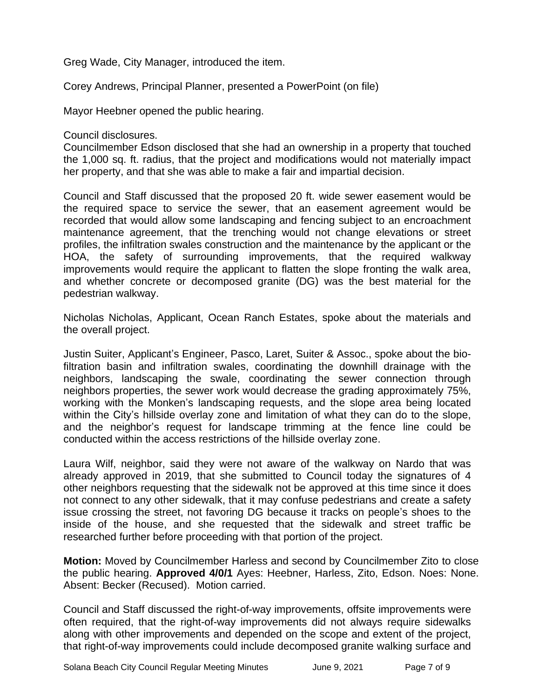Greg Wade, City Manager, introduced the item.

Corey Andrews, Principal Planner, presented a PowerPoint (on file)

Mayor Heebner opened the public hearing.

Council disclosures.

Councilmember Edson disclosed that she had an ownership in a property that touched the 1,000 sq. ft. radius, that the project and modifications would not materially impact her property, and that she was able to make a fair and impartial decision.

Council and Staff discussed that the proposed 20 ft. wide sewer easement would be the required space to service the sewer, that an easement agreement would be recorded that would allow some landscaping and fencing subject to an encroachment maintenance agreement, that the trenching would not change elevations or street profiles, the infiltration swales construction and the maintenance by the applicant or the HOA, the safety of surrounding improvements, that the required walkway improvements would require the applicant to flatten the slope fronting the walk area, and whether concrete or decomposed granite (DG) was the best material for the pedestrian walkway.

Nicholas Nicholas, Applicant, Ocean Ranch Estates, spoke about the materials and the overall project.

Justin Suiter, Applicant's Engineer, Pasco, Laret, Suiter & Assoc., spoke about the biofiltration basin and infiltration swales, coordinating the downhill drainage with the neighbors, landscaping the swale, coordinating the sewer connection through neighbors properties, the sewer work would decrease the grading approximately 75%, working with the Monken's landscaping requests, and the slope area being located within the City's hillside overlay zone and limitation of what they can do to the slope, and the neighbor's request for landscape trimming at the fence line could be conducted within the access restrictions of the hillside overlay zone.

Laura Wilf, neighbor, said they were not aware of the walkway on Nardo that was already approved in 2019, that she submitted to Council today the signatures of 4 other neighbors requesting that the sidewalk not be approved at this time since it does not connect to any other sidewalk, that it may confuse pedestrians and create a safety issue crossing the street, not favoring DG because it tracks on people's shoes to the inside of the house, and she requested that the sidewalk and street traffic be researched further before proceeding with that portion of the project.

**Motion:** Moved by Councilmember Harless and second by Councilmember Zito to close the public hearing. **Approved 4/0/1** Ayes: Heebner, Harless, Zito, Edson. Noes: None. Absent: Becker (Recused). Motion carried.

Council and Staff discussed the right-of-way improvements, offsite improvements were often required, that the right-of-way improvements did not always require sidewalks along with other improvements and depended on the scope and extent of the project, that right-of-way improvements could include decomposed granite walking surface and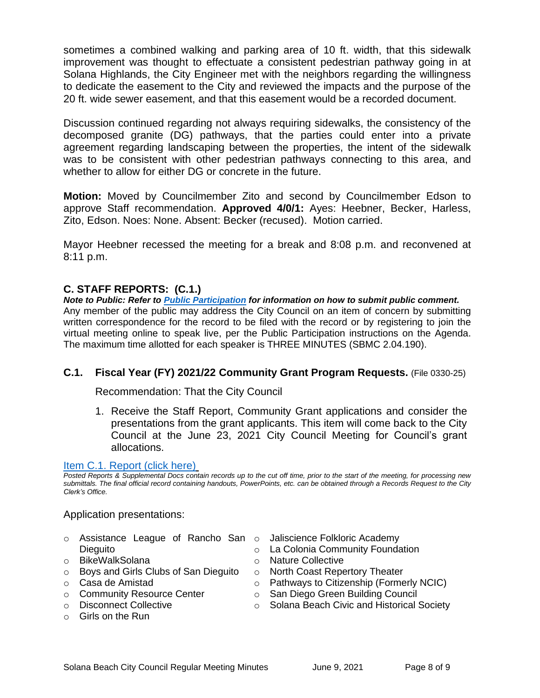sometimes a combined walking and parking area of 10 ft. width, that this sidewalk improvement was thought to effectuate a consistent pedestrian pathway going in at Solana Highlands, the City Engineer met with the neighbors regarding the willingness to dedicate the easement to the City and reviewed the impacts and the purpose of the 20 ft. wide sewer easement, and that this easement would be a recorded document.

Discussion continued regarding not always requiring sidewalks, the consistency of the decomposed granite (DG) pathways, that the parties could enter into a private agreement regarding landscaping between the properties, the intent of the sidewalk was to be consistent with other pedestrian pathways connecting to this area, and whether to allow for either DG or concrete in the future.

**Motion:** Moved by Councilmember Zito and second by Councilmember Edson to approve Staff recommendation. **Approved 4/0/1:** Ayes: Heebner, Becker, Harless, Zito, Edson. Noes: None. Absent: Becker (recused). Motion carried.

Mayor Heebner recessed the meeting for a break and 8:08 p.m. and reconvened at 8:11 p.m.

# **C. STAFF REPORTS: (C.1.)**

*Note to Public: Refer to Public Participation for information on how to submit public comment.*  Any member of the public may address the City Council on an item of concern by submitting written correspondence for the record to be filed with the record or by registering to join the virtual meeting online to speak live, per the Public Participation instructions on the Agenda. The maximum time allotted for each speaker is THREE MINUTES (SBMC 2.04.190).

# **C.1. Fiscal Year (FY) 2021/22 Community Grant Program Requests.** (File 0330-25)

Recommendation: That the City Council

1. Receive the Staff Report, Community Grant applications and consider the presentations from the grant applicants. This item will come back to the City Council at the June 23, 2021 City Council Meeting for Council's grant allocations.

#### Item C.1. Report (click here)

*Posted Reports & Supplemental Docs contain records up to the cut off time, prior to the start of the meeting, for processing new submittals. The final official record containing handouts, PowerPoints, etc. can be obtained through a Records Request to the City Clerk's Office.*

#### Application presentations:

- o Assistance League of Rancho San o Jaliscience Folkloric Academy **Dieguito**
- o BikeWalkSolana
- $\circ$  Boys and Girls Clubs of San Dieguito  $\circ$  North Coast Repertory Theater
- o Casa de Amistad
- o Community Resource Center
- o Disconnect Collective
- o Girls on the Run
- 
- o La Colonia Community Foundation
- o Nature Collective
	-
- o Pathways to Citizenship (Formerly NCIC)
- o San Diego Green Building Council
	- o Solana Beach Civic and Historical Society